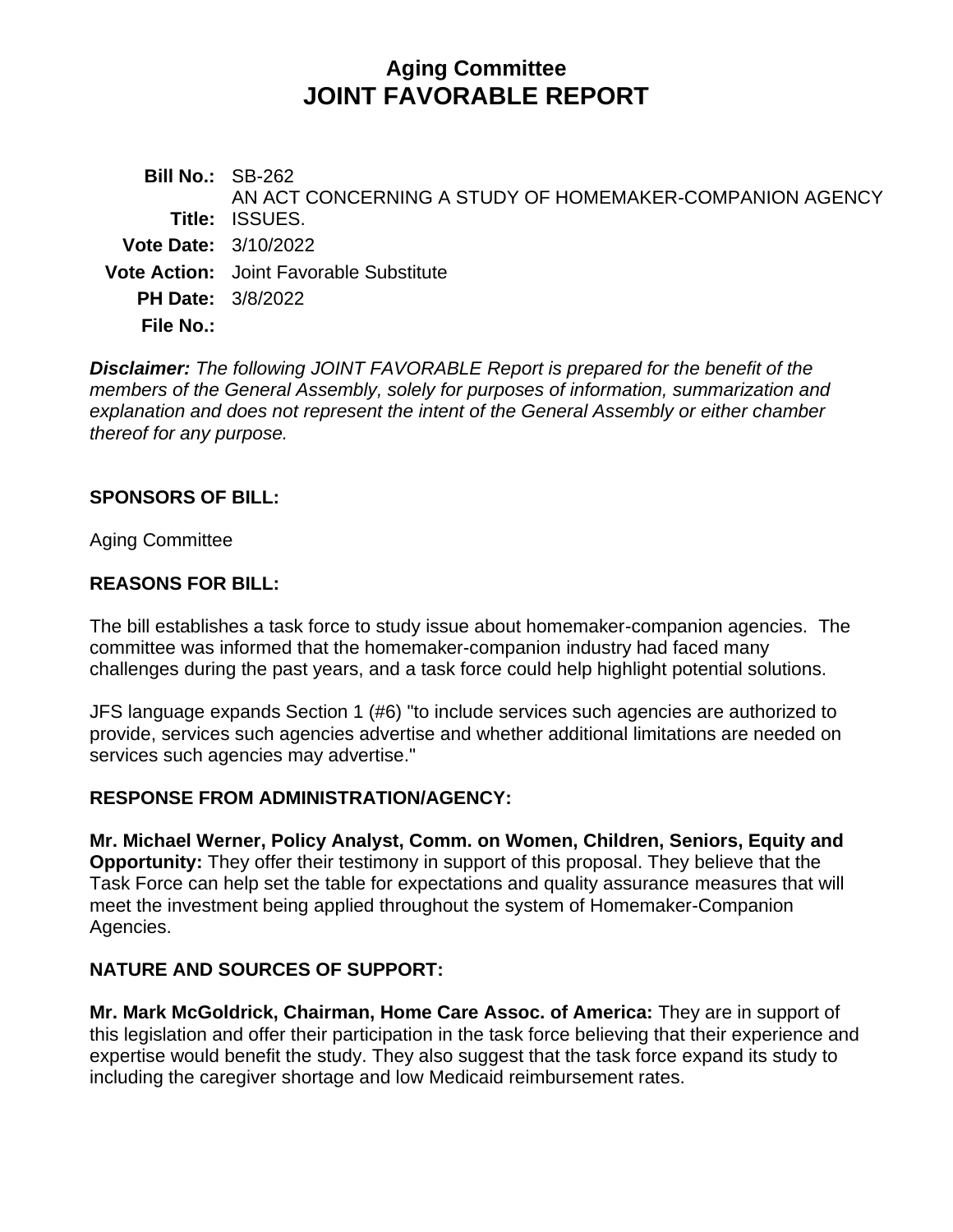# **Aging Committee JOINT FAVORABLE REPORT**

**Bill No.:** SB-262 **Title:** ISSUES. AN ACT CONCERNING A STUDY OF HOMEMAKER-COMPANION AGENCY **Vote Date:** 3/10/2022 **Vote Action:** Joint Favorable Substitute **PH Date:** 3/8/2022 **File No.:**

*Disclaimer: The following JOINT FAVORABLE Report is prepared for the benefit of the members of the General Assembly, solely for purposes of information, summarization and explanation and does not represent the intent of the General Assembly or either chamber thereof for any purpose.*

#### **SPONSORS OF BILL:**

Aging Committee

#### **REASONS FOR BILL:**

The bill establishes a task force to study issue about homemaker-companion agencies. The committee was informed that the homemaker-companion industry had faced many challenges during the past years, and a task force could help highlight potential solutions.

JFS language expands Section 1 (#6) "to include services such agencies are authorized to provide, services such agencies advertise and whether additional limitations are needed on services such agencies may advertise."

#### **RESPONSE FROM ADMINISTRATION/AGENCY:**

**Mr. Michael Werner, Policy Analyst, Comm. on Women, Children, Seniors, Equity and Opportunity:** They offer their testimony in support of this proposal. They believe that the Task Force can help set the table for expectations and quality assurance measures that will meet the investment being applied throughout the system of Homemaker-Companion Agencies.

## **NATURE AND SOURCES OF SUPPORT:**

**Mr. Mark McGoldrick, Chairman, Home Care Assoc. of America:** They are in support of this legislation and offer their participation in the task force believing that their experience and expertise would benefit the study. They also suggest that the task force expand its study to including the caregiver shortage and low Medicaid reimbursement rates.